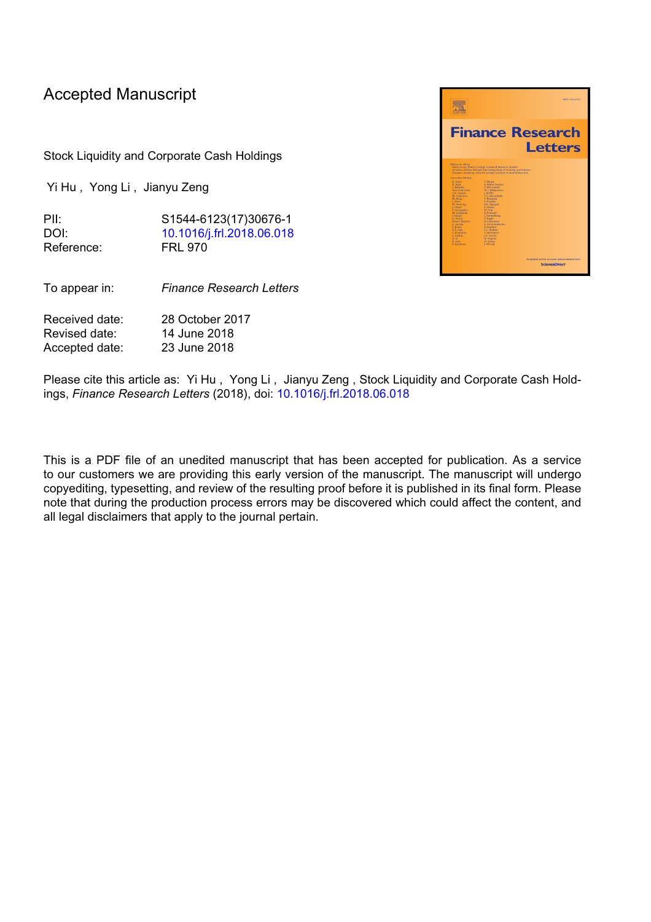# Accepted Manuscript

Stock Liquidity and Corporate Cash Holdings

Yi Hu , Yong Li , Jianyu Zeng

PII: S1544-6123(17)30676-1 DOI: [10.1016/j.frl.2018.06.018](https://doi.org/10.1016/j.frl.2018.06.018) Reference: FRL 970

To appear in: *Finance Research Letters*

Received date: 28 October 2017 Revised date: 14 June 2018 Accepted date: 23 June 2018

 $\overline{\mathbf{a}}$ **Finance Research** Letters

Please cite this article as: Yi Hu , Yong Li , Jianyu Zeng , Stock Liquidity and Corporate Cash Holdings, *Finance Research Letters* (2018), doi: [10.1016/j.frl.2018.06.018](https://doi.org/10.1016/j.frl.2018.06.018)

This is a PDF file of an unedited manuscript that has been accepted for publication. As a service to our customers we are providing this early version of the manuscript. The manuscript will undergo copyediting, typesetting, and review of the resulting proof before it is published in its final form. Please note that during the production process errors may be discovered which could affect the content, and all legal disclaimers that apply to the journal pertain.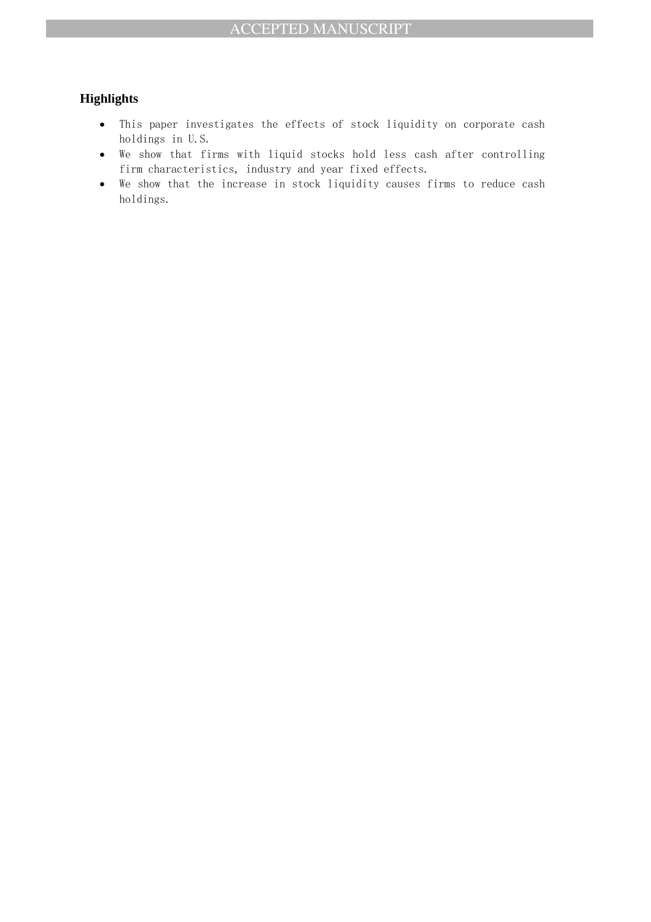## **Highlights**

- This paper investigates the effects of stock liquidity on corporate cash holdings in U.S.
- We show that firms with liquid stocks hold less cash after controlling firm characteristics, industry and year fixed effects.
- We show that the increase in stock liquidity causes firms to reduce cash holdings.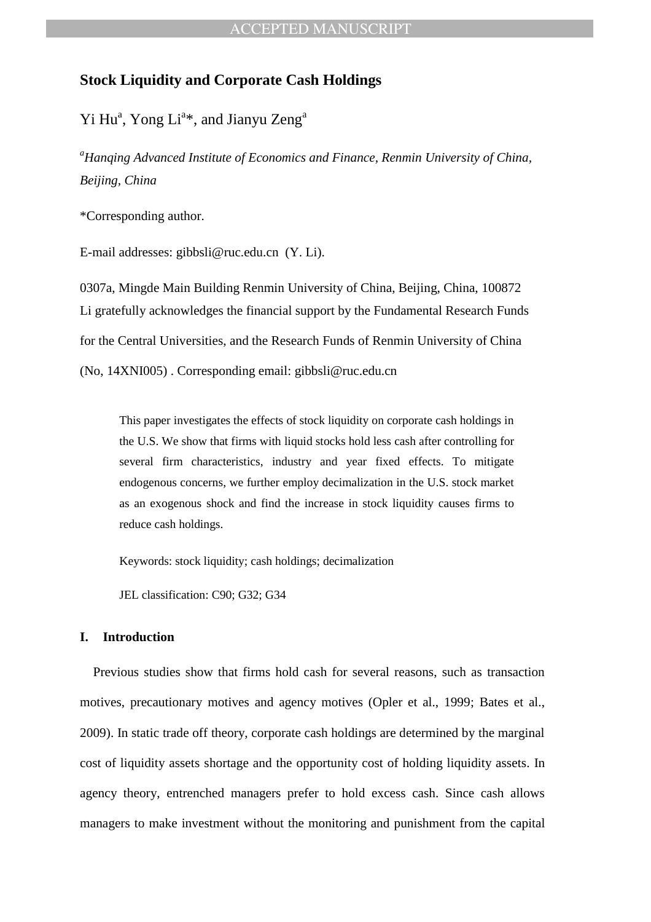## **Stock Liquidity and Corporate Cash Holdings**

Yi Hu<sup>a</sup>, Yong Li<sup>a\*</sup>, and Jianyu Zeng<sup>a</sup>

*<sup>a</sup>Hanqing Advanced Institute of Economics and Finance, Renmin University of China, Beijing, China* 

\*Corresponding author.

E-mail addresses: gibbsli@ruc.edu.cn (Y. Li).

0307a, Mingde Main Building Renmin University of China, Beijing, China, 100872 Li gratefully acknowledges the financial support by the Fundamental Research Funds for the Central Universities, and the Research Funds of Renmin University of China (No, 14XNI005) . Corresponding email: gibbsli@ruc.edu.cn

This paper investigates the effects of stock liquidity on corporate cash holdings in the U.S. We show that firms with liquid stocks hold less cash after controlling for several firm characteristics, industry and year fixed effects. To mitigate endogenous concerns, we further employ decimalization in the U.S. stock market as an exogenous shock and find the increase in stock liquidity causes firms to reduce cash holdings.

Keywords: stock liquidity; cash holdings; decimalization

JEL classification: C90; G32; G34

### **I. Introduction**

Previous studies show that firms hold cash for several reasons, such as transaction motives, precautionary motives and agency motives (Opler et al., 1999; Bates et al., 2009). In static trade off theory, corporate cash holdings are determined by the marginal cost of liquidity assets shortage and the opportunity cost of holding liquidity assets. In agency theory, entrenched managers prefer to hold excess cash. Since cash allows managers to make investment without the monitoring and punishment from the capital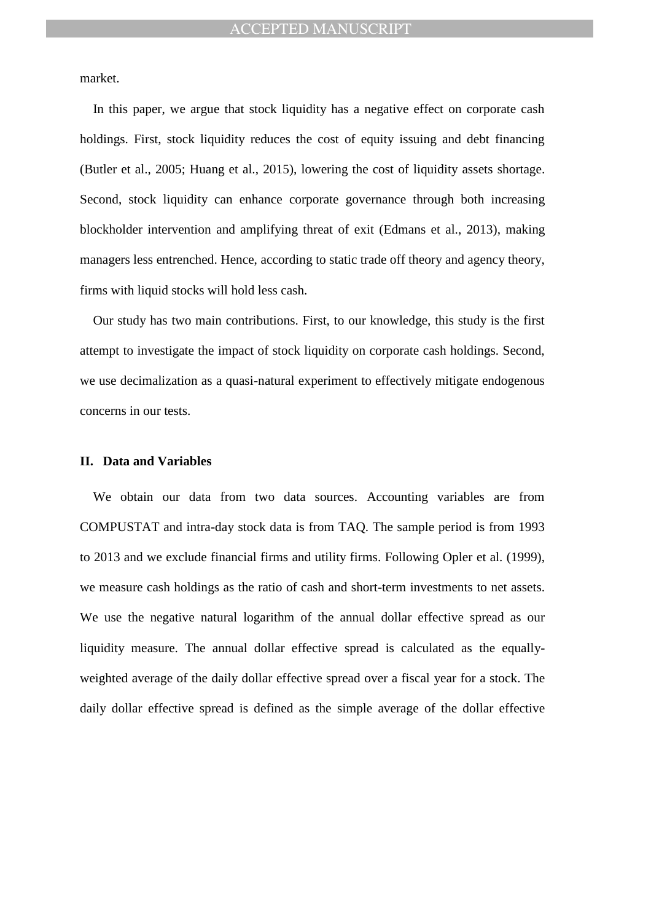market.

In this paper, we argue that stock liquidity has a negative effect on corporate cash holdings. First, stock liquidity reduces the cost of equity issuing and debt financing (Butler et al., 2005; Huang et al., 2015), lowering the cost of liquidity assets shortage. Second, stock liquidity can enhance corporate governance through both increasing blockholder intervention and amplifying threat of exit (Edmans et al., 2013), making managers less entrenched. Hence, according to static trade off theory and agency theory, firms with liquid stocks will hold less cash.

Our study has two main contributions. First, to our knowledge, this study is the first attempt to investigate the impact of stock liquidity on corporate cash holdings. Second, we use decimalization as a quasi-natural experiment to effectively mitigate endogenous concerns in our tests.

#### **II. Data and Variables**

We obtain our data from two data sources. Accounting variables are from COMPUSTAT and intra-day stock data is from TAQ. The sample period is from 1993 to 2013 and we exclude financial firms and utility firms. Following Opler et al. (1999), we measure cash holdings as the ratio of cash and short-term investments to net assets. We use the negative natural logarithm of the annual dollar effective spread as our liquidity measure. The annual dollar effective spread is calculated as the equallyweighted average of the daily dollar effective spread over a fiscal year for a stock. The daily dollar effective spread is defined as the simple average of the dollar effective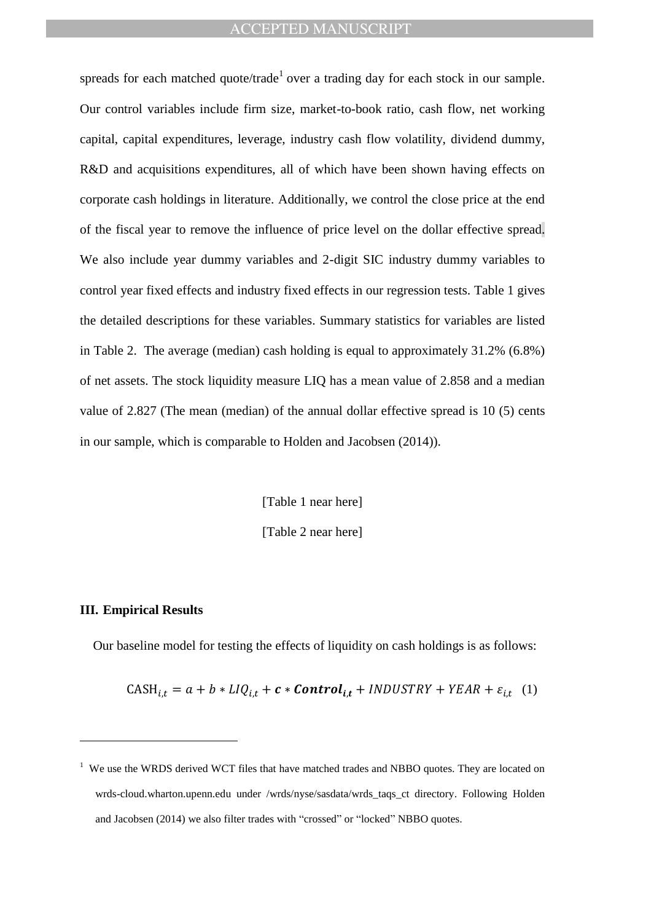spreads for each matched quote/trade<sup>1</sup> over a trading day for each stock in our sample. Our control variables include firm size, market-to-book ratio, cash flow, net working capital, capital expenditures, leverage, industry cash flow volatility, dividend dummy, R&D and acquisitions expenditures, all of which have been shown having effects on corporate cash holdings in literature. Additionally, we control the close price at the end of the fiscal year to remove the influence of price level on the dollar effective spread. We also include year dummy variables and 2-digit SIC industry dummy variables to control year fixed effects and industry fixed effects in our regression tests. Table 1 gives the detailed descriptions for these variables. Summary statistics for variables are listed in Table 2. The average (median) cash holding is equal to approximately 31.2% (6.8%) of net assets. The stock liquidity measure LIQ has a mean value of 2.858 and a median value of 2.827 (The mean (median) of the annual dollar effective spread is 10 (5) cents in our sample, which is comparable to Holden and Jacobsen (2014)).

> [Table 1 near here] [Table 2 near here]

### **III. Empirical Results**

 $\overline{a}$ 

Our baseline model for testing the effects of liquidity on cash holdings is as follows:

CASH<sub>it</sub> =  $a + b * LIQ_{i,t} + c * Control_{i,t} + INDUSTRY + YEAR + \varepsilon_{i,t}$  (1)

<sup>&</sup>lt;sup>1</sup> We use the WRDS derived WCT files that have matched trades and NBBO quotes. They are located on wrds-cloud.wharton.upenn.edu under /wrds/nyse/sasdata/wrds taqs ct directory. Following Holden and Jacobsen (2014) we also filter trades with "crossed" or "locked" NBBO quotes.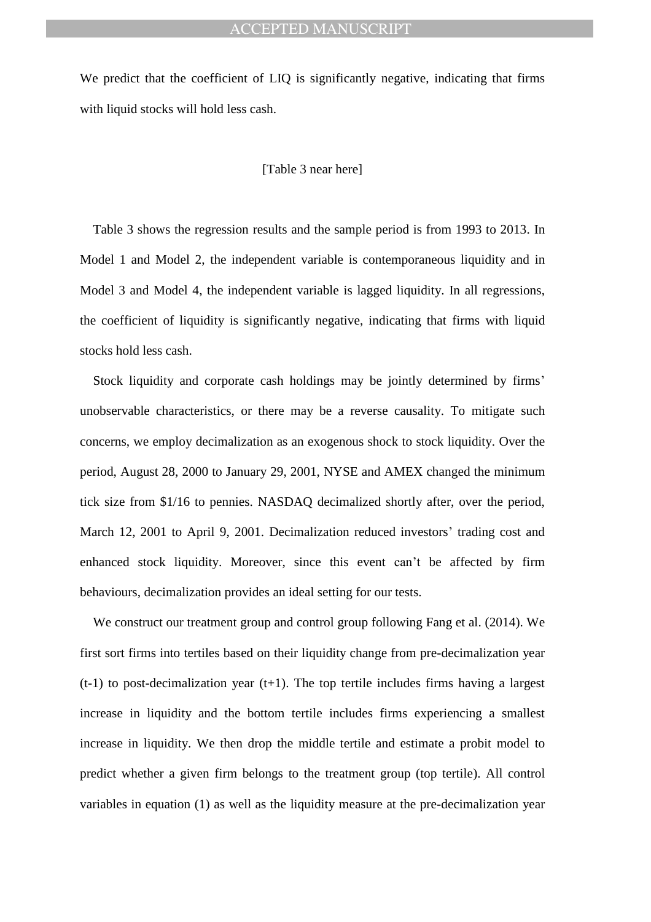We predict that the coefficient of LIQ is significantly negative, indicating that firms with liquid stocks will hold less cash.

#### [Table 3 near here]

Table 3 shows the regression results and the sample period is from 1993 to 2013. In Model 1 and Model 2, the independent variable is contemporaneous liquidity and in Model 3 and Model 4, the independent variable is lagged liquidity. In all regressions, the coefficient of liquidity is significantly negative, indicating that firms with liquid stocks hold less cash.

Stock liquidity and corporate cash holdings may be jointly determined by firms' unobservable characteristics, or there may be a reverse causality. To mitigate such concerns, we employ decimalization as an exogenous shock to stock liquidity. Over the period, August 28, 2000 to January 29, 2001, NYSE and AMEX changed the minimum tick size from \$1/16 to pennies. NASDAQ decimalized shortly after, over the period, March 12, 2001 to April 9, 2001. Decimalization reduced investors' trading cost and enhanced stock liquidity. Moreover, since this event can't be affected by firm behaviours, decimalization provides an ideal setting for our tests.

We construct our treatment group and control group following Fang et al. (2014). We first sort firms into tertiles based on their liquidity change from pre-decimalization year  $(t-1)$  to post-decimalization year  $(t+1)$ . The top tertile includes firms having a largest increase in liquidity and the bottom tertile includes firms experiencing a smallest increase in liquidity. We then drop the middle tertile and estimate a probit model to predict whether a given firm belongs to the treatment group (top tertile). All control variables in equation (1) as well as the liquidity measure at the pre-decimalization year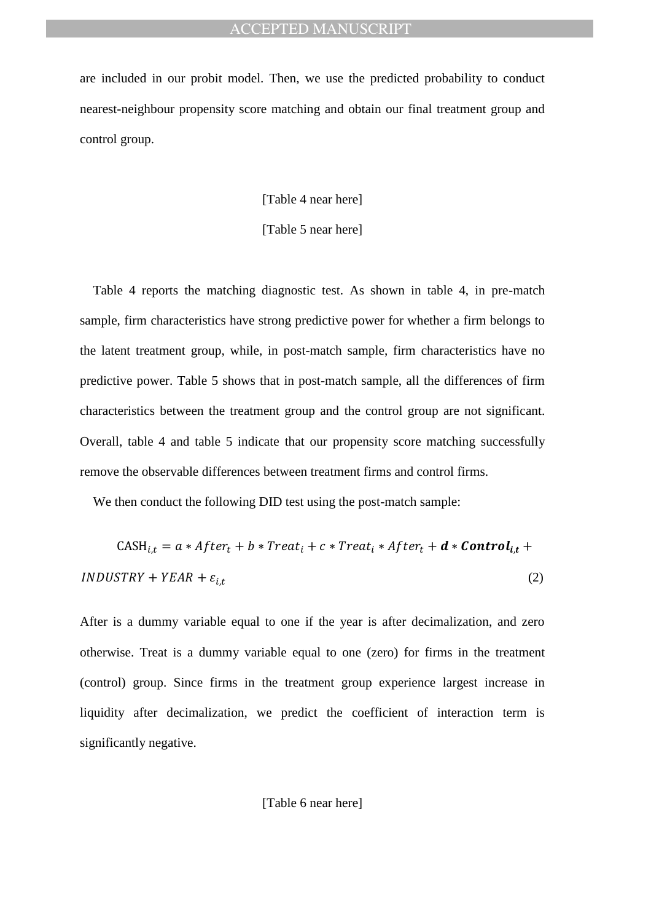are included in our probit model. Then, we use the predicted probability to conduct nearest-neighbour propensity score matching and obtain our final treatment group and control group.

[Table 4 near here]

[Table 5 near here]

Table 4 reports the matching diagnostic test. As shown in table 4, in pre-match sample, firm characteristics have strong predictive power for whether a firm belongs to the latent treatment group, while, in post-match sample, firm characteristics have no predictive power. Table 5 shows that in post-match sample, all the differences of firm characteristics between the treatment group and the control group are not significant. Overall, table 4 and table 5 indicate that our propensity score matching successfully remove the observable differences between treatment firms and control firms.

We then conduct the following DID test using the post-match sample:

CASH<sub>it</sub> =  $a * After_t + b * Treat_t + c * Treat_t * After_t + d * Control_{it} +$  $INDUSTRY + YEAR + \varepsilon_{i,t}$ (2)

After is a dummy variable equal to one if the year is after decimalization, and zero otherwise. Treat is a dummy variable equal to one (zero) for firms in the treatment (control) group. Since firms in the treatment group experience largest increase in liquidity after decimalization, we predict the coefficient of interaction term is significantly negative.

[Table 6 near here]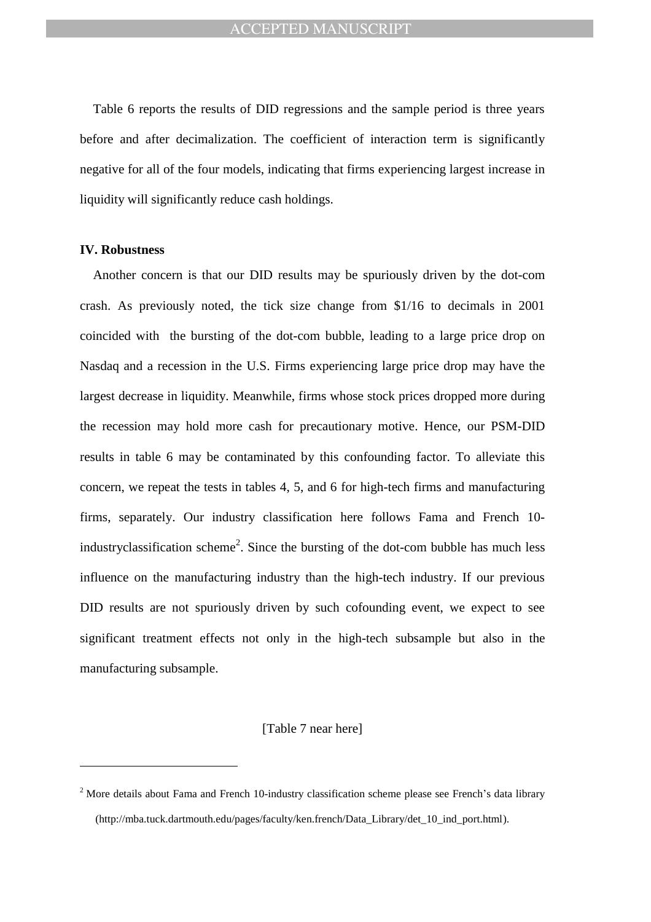Table 6 reports the results of DID regressions and the sample period is three years before and after decimalization. The coefficient of interaction term is significantly negative for all of the four models, indicating that firms experiencing largest increase in liquidity will significantly reduce cash holdings.

### **IV. Robustness**

 $\overline{a}$ 

Another concern is that our DID results may be spuriously driven by the dot-com crash. As previously noted, the tick size change from \$1/16 to decimals in 2001 coincided with the bursting of the dot-com bubble, leading to a large price drop on Nasdaq and a recession in the U.S. Firms experiencing large price drop may have the largest decrease in liquidity. Meanwhile, firms whose stock prices dropped more during the recession may hold more cash for precautionary motive. Hence, our PSM-DID results in table 6 may be contaminated by this confounding factor. To alleviate this concern, we repeat the tests in tables 4, 5, and 6 for high-tech firms and manufacturing firms, separately. Our industry classification here follows Fama and French 10 industryclassification scheme<sup>2</sup>. Since the bursting of the dot-com bubble has much less influence on the manufacturing industry than the high-tech industry. If our previous DID results are not spuriously driven by such cofounding event, we expect to see significant treatment effects not only in the high-tech subsample but also in the manufacturing subsample.

[Table 7 near here]

<sup>&</sup>lt;sup>2</sup> More details about Fama and French 10-industry classification scheme please see French's data library (http://mba.tuck.dartmouth.edu/pages/faculty/ken.french/Data\_Library/det\_10\_ind\_port.html).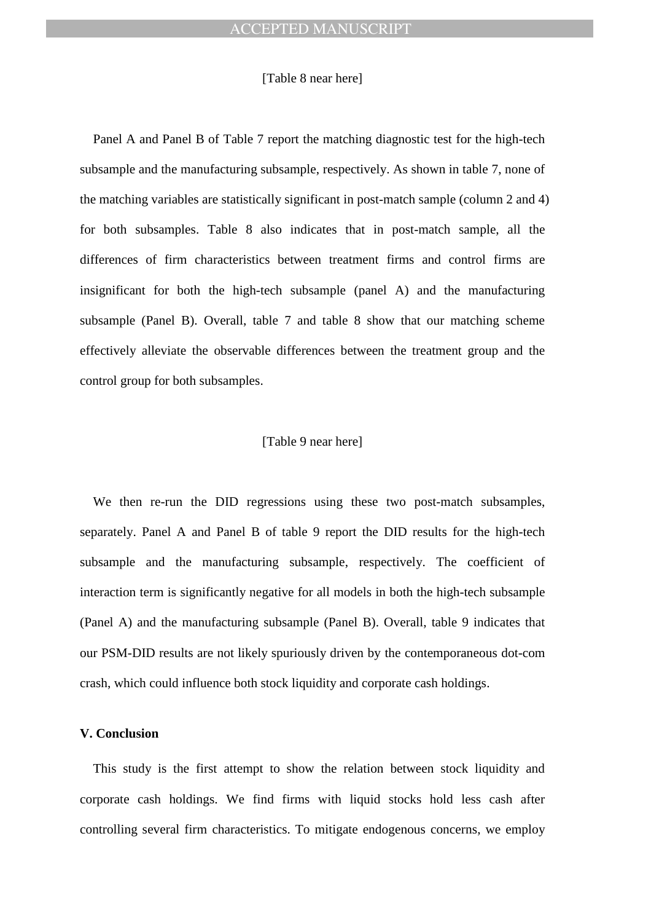#### [Table 8 near here]

Panel A and Panel B of Table 7 report the matching diagnostic test for the high-tech subsample and the manufacturing subsample, respectively. As shown in table 7, none of the matching variables are statistically significant in post-match sample (column 2 and 4) for both subsamples. Table 8 also indicates that in post-match sample, all the differences of firm characteristics between treatment firms and control firms are insignificant for both the high-tech subsample (panel A) and the manufacturing subsample (Panel B). Overall, table 7 and table 8 show that our matching scheme effectively alleviate the observable differences between the treatment group and the control group for both subsamples.

#### [Table 9 near here]

We then re-run the DID regressions using these two post-match subsamples, separately. Panel A and Panel B of table 9 report the DID results for the high-tech subsample and the manufacturing subsample, respectively. The coefficient of interaction term is significantly negative for all models in both the high-tech subsample (Panel A) and the manufacturing subsample (Panel B). Overall, table 9 indicates that our PSM-DID results are not likely spuriously driven by the contemporaneous dot-com crash, which could influence both stock liquidity and corporate cash holdings.

#### **V. Conclusion**

This study is the first attempt to show the relation between stock liquidity and corporate cash holdings. We find firms with liquid stocks hold less cash after controlling several firm characteristics. To mitigate endogenous concerns, we employ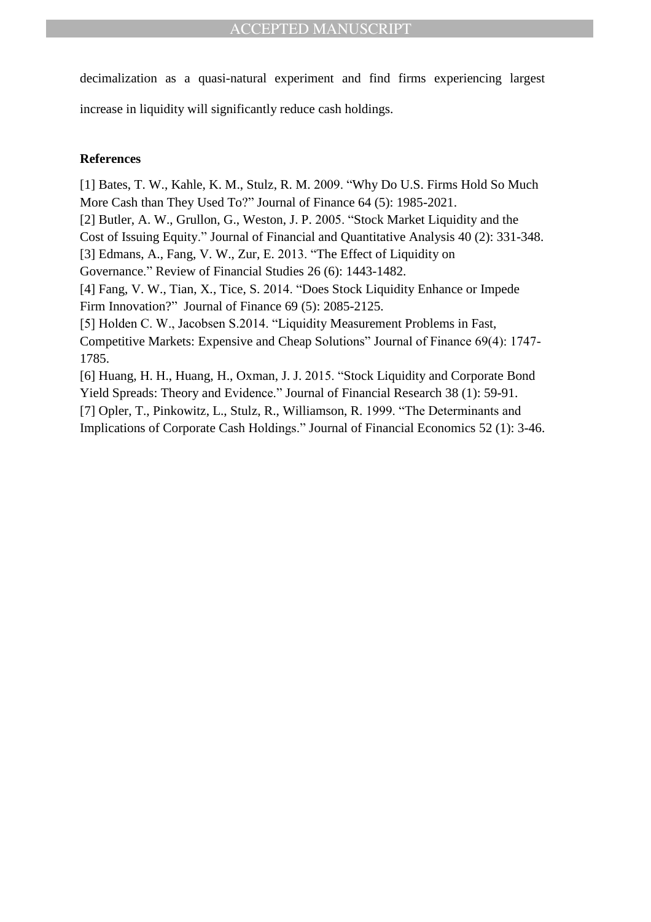decimalization as a quasi-natural experiment and find firms experiencing largest

increase in liquidity will significantly reduce cash holdings.

## **References**

[1] Bates, T. W., Kahle, K. M., Stulz, R. M. 2009. "Why Do U.S. Firms Hold So Much More Cash than They Used To?" Journal of Finance 64 (5): 1985-2021.

[2] Butler, A. W., Grullon, G., Weston, J. P. 2005. "Stock Market Liquidity and the

Cost of Issuing Equity." Journal of Financial and Quantitative Analysis 40 (2): 331-348.

[3] Edmans, A., Fang, V. W., Zur, E. 2013. "The Effect of Liquidity on

Governance." Review of Financial Studies 26 (6): 1443-1482.

[4] Fang, V. W., Tian, X., Tice, S. 2014. "Does Stock Liquidity Enhance or Impede Firm Innovation?" Journal of Finance 69 (5): 2085-2125.

[5] Holden C. W., Jacobsen S.2014. "Liquidity Measurement Problems in Fast, Competitive Markets: Expensive and Cheap Solutions" Journal of Finance 69(4): 1747- 1785.

[6] Huang, H. H., Huang, H., Oxman, J. J. 2015. "Stock Liquidity and Corporate Bond Yield Spreads: Theory and Evidence." Journal of Financial Research 38 (1): 59-91. [7] Opler, T., Pinkowitz, L., Stulz, R., Williamson, R. 1999. "The Determinants and Implications of Corporate Cash Holdings." Journal of Financial Economics 52 (1): 3-46.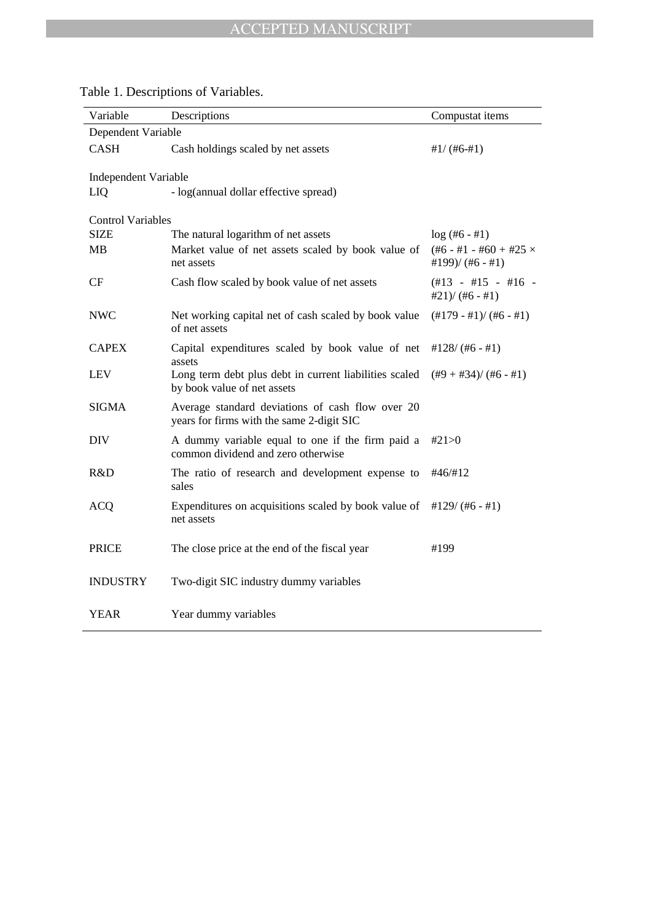| Variable                    | Descriptions                                                                                  | Compustat items                                         |
|-----------------------------|-----------------------------------------------------------------------------------------------|---------------------------------------------------------|
| Dependent Variable          |                                                                                               |                                                         |
| <b>CASH</b>                 | Cash holdings scaled by net assets                                                            | $#1/(#6-#1)$                                            |
| <b>Independent Variable</b> |                                                                                               |                                                         |
| LIQ                         | - log(annual dollar effective spread)                                                         |                                                         |
| <b>Control Variables</b>    |                                                                                               |                                                         |
| <b>SIZE</b>                 | The natural logarithm of net assets                                                           | $log (#6 - #1)$                                         |
| <b>MB</b>                   | Market value of net assets scaled by book value of<br>net assets                              | $(\#6 - \#1 - \#60 + \#25 \times$<br>#199)/ $(#6 - #1)$ |
| CF                          | Cash flow scaled by book value of net assets                                                  | $(\#13 - #15 - #16 -$<br>$#21$ )/ $(H6 - #1)$           |
| <b>NWC</b>                  | Net working capital net of cash scaled by book value<br>of net assets                         | $(\#179 - #1)/(\#6 - #1)$                               |
| <b>CAPEX</b>                | Capital expenditures scaled by book value of net<br>assets                                    | $\#128/(\#6 - \#1)$                                     |
| <b>LEV</b>                  | Long term debt plus debt in current liabilities scaled<br>by book value of net assets         | $(\#9 + \#34)/(\#6 - \#1)$                              |
| <b>SIGMA</b>                | Average standard deviations of cash flow over 20<br>years for firms with the same 2-digit SIC |                                                         |
| <b>DIV</b>                  | A dummy variable equal to one if the firm paid a<br>common dividend and zero otherwise        | #21>0                                                   |
| R&D                         | The ratio of research and development expense to<br>sales                                     | #46/#12                                                 |
| <b>ACQ</b>                  | Expenditures on acquisitions scaled by book value of<br>net assets                            | $\#129/(\#6 - \#1)$                                     |
| <b>PRICE</b>                | The close price at the end of the fiscal year                                                 | #199                                                    |
| <b>INDUSTRY</b>             | Two-digit SIC industry dummy variables                                                        |                                                         |
| YEAR                        | Year dummy variables                                                                          |                                                         |

Table 1. Descriptions of Variables.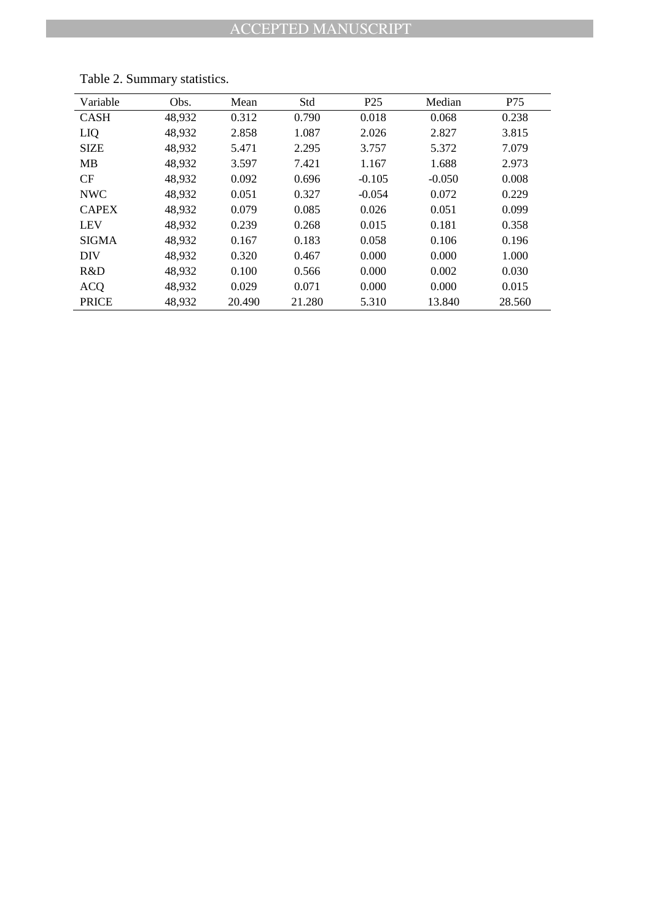| Variable     | Obs.   | Mean   | Std    | P <sub>25</sub> | Median   | P75    |
|--------------|--------|--------|--------|-----------------|----------|--------|
| <b>CASH</b>  | 48,932 | 0.312  | 0.790  | 0.018           | 0.068    | 0.238  |
| LIQ          | 48,932 | 2.858  | 1.087  | 2.026           | 2.827    | 3.815  |
| <b>SIZE</b>  | 48,932 | 5.471  | 2.295  | 3.757           | 5.372    | 7.079  |
| <b>MB</b>    | 48,932 | 3.597  | 7.421  | 1.167           | 1.688    | 2.973  |
| <b>CF</b>    | 48,932 | 0.092  | 0.696  | $-0.105$        | $-0.050$ | 0.008  |
| <b>NWC</b>   | 48,932 | 0.051  | 0.327  | $-0.054$        | 0.072    | 0.229  |
| <b>CAPEX</b> | 48,932 | 0.079  | 0.085  | 0.026           | 0.051    | 0.099  |
| <b>LEV</b>   | 48,932 | 0.239  | 0.268  | 0.015           | 0.181    | 0.358  |
| <b>SIGMA</b> | 48.932 | 0.167  | 0.183  | 0.058           | 0.106    | 0.196  |
| <b>DIV</b>   | 48,932 | 0.320  | 0.467  | 0.000           | 0.000    | 1.000  |
| R&D          | 48,932 | 0.100  | 0.566  | 0.000           | 0.002    | 0.030  |
| <b>ACQ</b>   | 48,932 | 0.029  | 0.071  | 0.000           | 0.000    | 0.015  |
| <b>PRICE</b> | 48,932 | 20.490 | 21.280 | 5.310           | 13.840   | 28.560 |

Table 2. Summary statistics.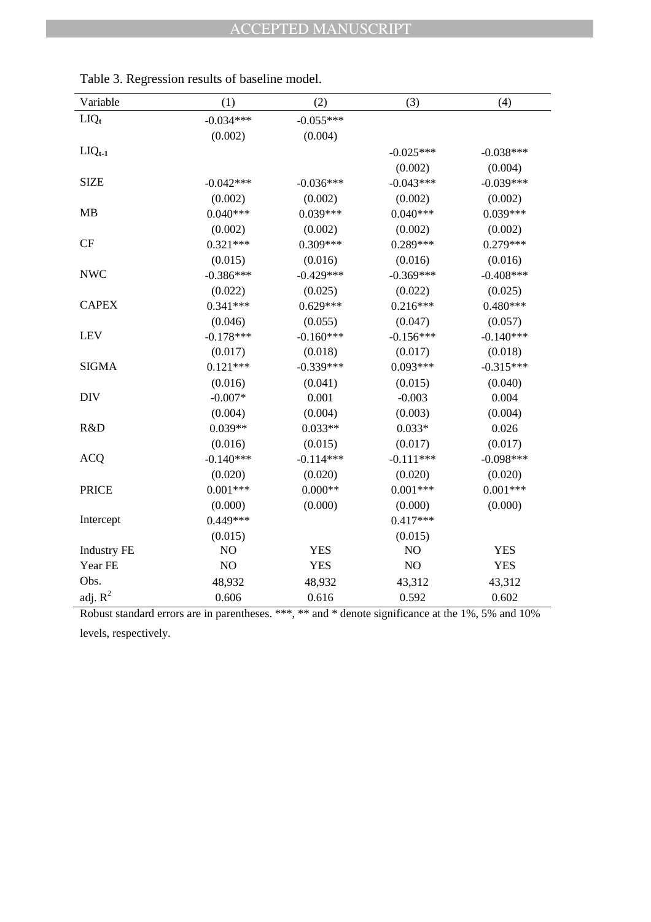| Variable           | (1)         | (2)          | (3)            | (4)                                                 |
|--------------------|-------------|--------------|----------------|-----------------------------------------------------|
| $LIQ_t$            | $-0.034***$ | $-0.055***$  |                |                                                     |
|                    | (0.002)     | (0.004)      |                |                                                     |
| $LIQ_{t-1}$        |             |              | $-0.025***$    | $-0.038***$                                         |
|                    |             |              | (0.002)        | (0.004)                                             |
| <b>SIZE</b>        | $-0.042***$ | $-0.036***$  | $-0.043***$    | $-0.039***$                                         |
|                    | (0.002)     | (0.002)      | (0.002)        | (0.002)                                             |
| <b>MB</b>          | $0.040***$  | $0.039***$   | $0.040***$     | 0.039***                                            |
|                    | (0.002)     | (0.002)      | (0.002)        | (0.002)                                             |
| CF                 | $0.321***$  | $0.309***$   | 0.289***       | $0.279***$                                          |
|                    | (0.015)     | (0.016)      | (0.016)        | (0.016)                                             |
| <b>NWC</b>         | $-0.386***$ | $-0.429***$  | $-0.369***$    | $-0.408***$                                         |
|                    | (0.022)     | (0.025)      | (0.022)        | (0.025)                                             |
| <b>CAPEX</b>       | $0.341***$  | $0.629***$   | $0.216***$     | $0.480***$                                          |
|                    | (0.046)     | (0.055)      | (0.047)        | (0.057)                                             |
| <b>LEV</b>         | $-0.178***$ | $-0.160***$  | $-0.156***$    | $-0.140***$                                         |
|                    | (0.017)     | (0.018)      | (0.017)        | (0.018)                                             |
| <b>SIGMA</b>       | $0.121***$  | $-0.339***$  | 0.093***       | $-0.315***$                                         |
|                    | (0.016)     | (0.041)      | (0.015)        | (0.040)                                             |
| <b>DIV</b>         | $-0.007*$   | 0.001        | $-0.003$       | 0.004                                               |
|                    | (0.004)     | (0.004)      | (0.003)        | (0.004)                                             |
| R&D                | $0.039**$   | $0.033**$    | $0.033*$       | 0.026                                               |
|                    | (0.016)     | (0.015)      | (0.017)        | (0.017)                                             |
| <b>ACQ</b>         | $-0.140***$ | $-0.114***$  | $-0.111***$    | $-0.098***$                                         |
|                    | (0.020)     | (0.020)      | (0.020)        | (0.020)                                             |
| <b>PRICE</b>       | $0.001***$  | $0.000**$    | $0.001***$     | $0.001***$                                          |
|                    | (0.000)     | (0.000)      | (0.000)        | (0.000)                                             |
| Intercept          | 0.449***    |              | $0.417***$     |                                                     |
|                    | (0.015)     |              | (0.015)        |                                                     |
| <b>Industry FE</b> | NO          | <b>YES</b>   | NO             | <b>YES</b>                                          |
| Year FE            | NO          | <b>YES</b>   | NO             | <b>YES</b>                                          |
| Obs.               | 48,932      | 48,932       | 43,312         | 43,312                                              |
| adj. $R^2$         | 0.606       | 0.616        | 0.592          | 0.602                                               |
| $D - 1$            |             | ጥጥጥ ጥጥ ገግግ ብ | $\mathbb{C}$ . | $-10/$<br>$E_0$ / $\sim$ $\sim$ $\frac{1}{2}$ 1.00/ |

Table 3. Regression results of baseline model.

Robust standard errors are in parentheses. \*\*\*, \*\* and \* denote significance at the 1%, 5% and 10% levels, respectively.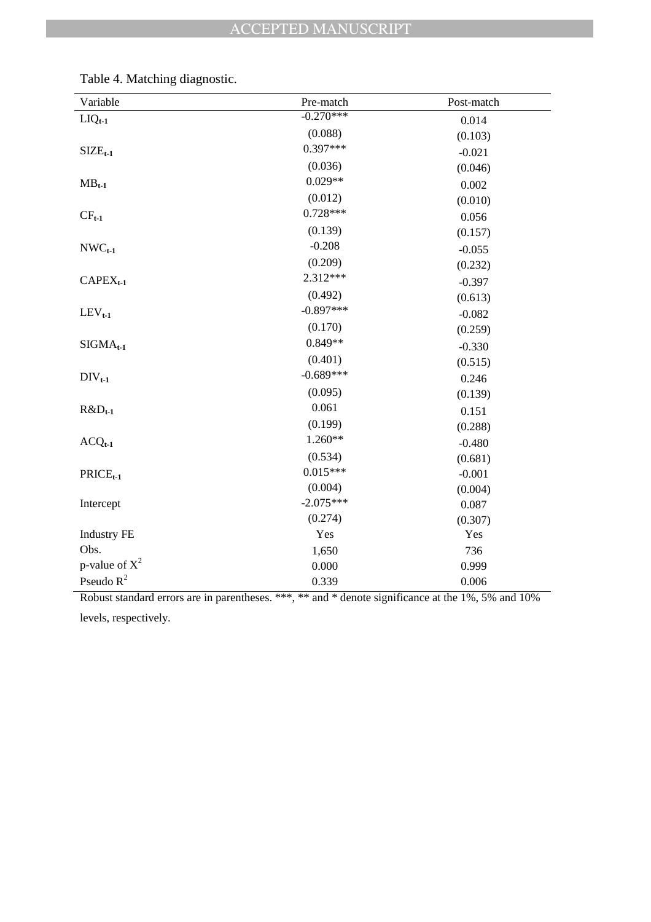| Variable           | Pre-match   | Post-match |
|--------------------|-------------|------------|
| $LIQ_{t-1}$        | $-0.270***$ | 0.014      |
|                    | (0.088)     | (0.103)    |
| $SIZE_{t-1}$       | $0.397***$  | $-0.021$   |
|                    | (0.036)     | (0.046)    |
| $MB_{t-1}$         | $0.029**$   | 0.002      |
|                    | (0.012)     | (0.010)    |
| $CF_{t-1}$         | $0.728***$  | 0.056      |
|                    | (0.139)     | (0.157)    |
| $NWC_{t-1}$        | $-0.208$    | $-0.055$   |
|                    | (0.209)     | (0.232)    |
| $CAPEX_{t-1}$      | 2.312***    | $-0.397$   |
|                    | (0.492)     | (0.613)    |
| $LEV_{t-1}$        | $-0.897***$ | $-0.082$   |
|                    | (0.170)     | (0.259)    |
| $SIGMA_{t-1}$      | $0.849**$   | $-0.330$   |
|                    | (0.401)     | (0.515)    |
| $DIV_{t-1}$        | $-0.689***$ | 0.246      |
|                    | (0.095)     | (0.139)    |
| $R&D_{t-1}$        | 0.061       | 0.151      |
|                    | (0.199)     | (0.288)    |
| $ACQ_{t-1}$        | $1.260**$   | $-0.480$   |
|                    | (0.534)     | (0.681)    |
| $PRICE_{t-1}$      | $0.015***$  | $-0.001$   |
|                    | (0.004)     | (0.004)    |
| Intercept          | $-2.075***$ | 0.087      |
|                    | (0.274)     | (0.307)    |
| <b>Industry FE</b> | Yes         | Yes        |
| Obs.               | 1,650       | 736        |
| p-value of $X^2$   | 0.000       | 0.999      |
| Pseudo $R^2$       | 0.339       | 0.006      |

Table 4. Matching diagnostic.

Robust standard errors are in parentheses. \*\*\*, \*\* and \* denote significance at the 1%, 5% and 10% levels, respectively.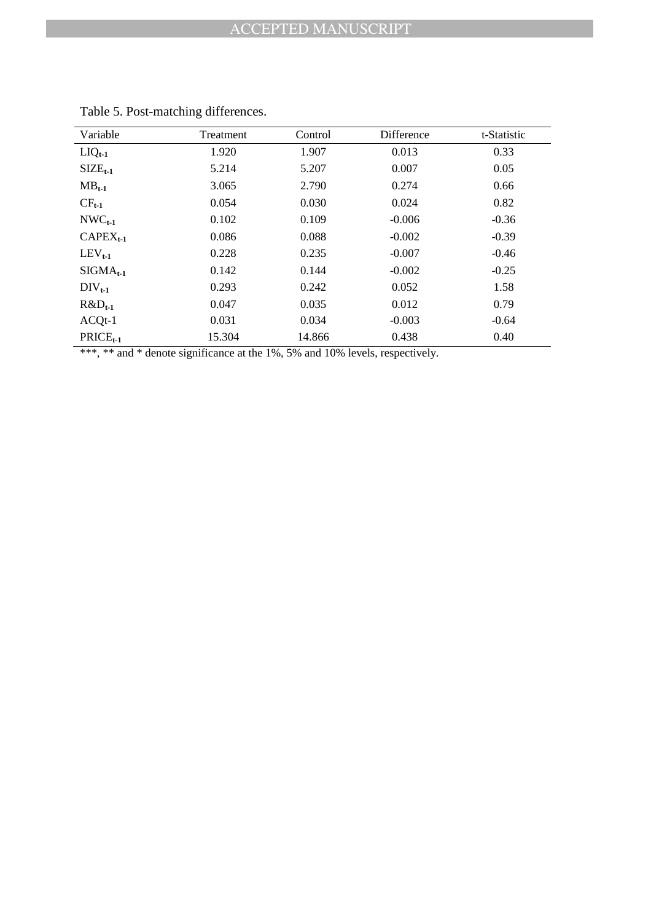| Variable      | Treatment | Control | Difference | t-Statistic |
|---------------|-----------|---------|------------|-------------|
|               |           |         |            |             |
| $LIQ_{t-1}$   | 1.920     | 1.907   | 0.013      | 0.33        |
| $SIZEt-1$     | 5.214     | 5.207   | 0.007      | 0.05        |
| $MB_{t-1}$    | 3.065     | 2.790   | 0.274      | 0.66        |
| $CF_{t-1}$    | 0.054     | 0.030   | 0.024      | 0.82        |
| $NWC_{t-1}$   | 0.102     | 0.109   | $-0.006$   | $-0.36$     |
| $CAPEX_{t-1}$ | 0.086     | 0.088   | $-0.002$   | $-0.39$     |
| $LEV_{t-1}$   | 0.228     | 0.235   | $-0.007$   | $-0.46$     |
| $SIGMA_{t-1}$ | 0.142     | 0.144   | $-0.002$   | $-0.25$     |
| $DIV_{t-1}$   | 0.293     | 0.242   | 0.052      | 1.58        |
| $R&D_{t-1}$   | 0.047     | 0.035   | 0.012      | 0.79        |
| $ACQt-1$      | 0.031     | 0.034   | $-0.003$   | $-0.64$     |
| $PRICE_{t-1}$ | 15.304    | 14.866  | 0.438      | 0.40        |

|  |  |  | Table 5. Post-matching differences. |
|--|--|--|-------------------------------------|
|--|--|--|-------------------------------------|

\*\*\*, \*\* and \* denote significance at the 1%, 5% and 10% levels, respectively.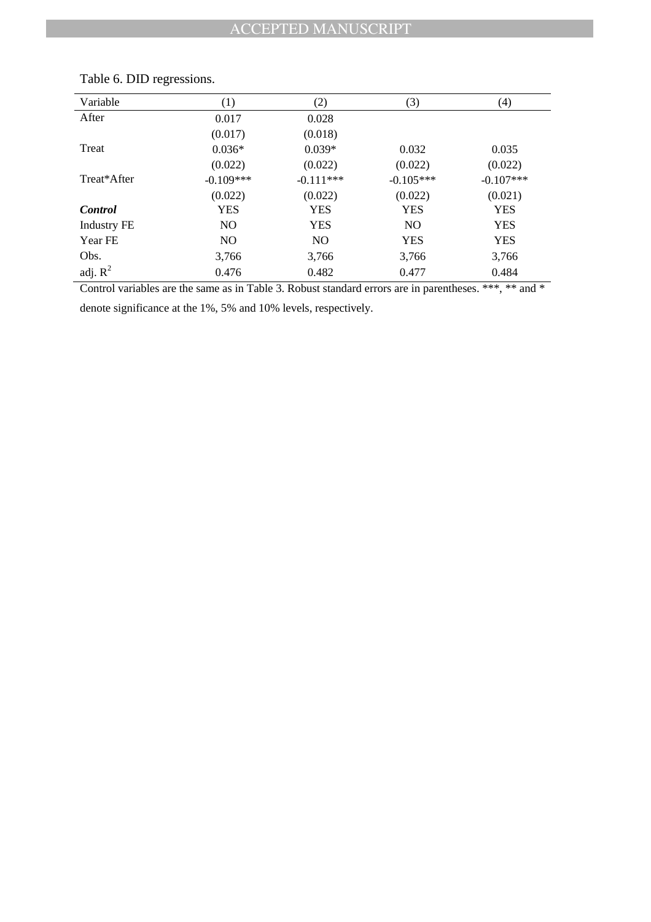| Variable           | (1)            | (2)            | (3)            | (4)         |  |
|--------------------|----------------|----------------|----------------|-------------|--|
| After              | 0.017          | 0.028          |                |             |  |
|                    | (0.017)        | (0.018)        |                |             |  |
| Treat              | $0.036*$       | $0.039*$       | 0.032          | 0.035       |  |
|                    | (0.022)        | (0.022)        | (0.022)        | (0.022)     |  |
| Treat*After        | $-0.109***$    | $-0.111***$    | $-0.105***$    | $-0.107***$ |  |
|                    | (0.022)        | (0.022)        | (0.022)        | (0.021)     |  |
| <b>Control</b>     | <b>YES</b>     | <b>YES</b>     | <b>YES</b>     | <b>YES</b>  |  |
| <b>Industry FE</b> | N <sub>O</sub> | <b>YES</b>     | N <sub>O</sub> | <b>YES</b>  |  |
| Year FE            | N <sub>O</sub> | N <sub>O</sub> | <b>YES</b>     | <b>YES</b>  |  |
| Obs.               | 3,766          | 3,766          | 3,766          | 3,766       |  |
| adj. $R^2$         | 0.476          | 0.482          | 0.477          | 0.484       |  |
|                    |                |                |                |             |  |

## Table 6. DID regressions.

Control variables are the same as in Table 3. Robust standard errors are in parentheses. \*\*\*, \*\* and \* denote significance at the 1%, 5% and 10% levels, respectively.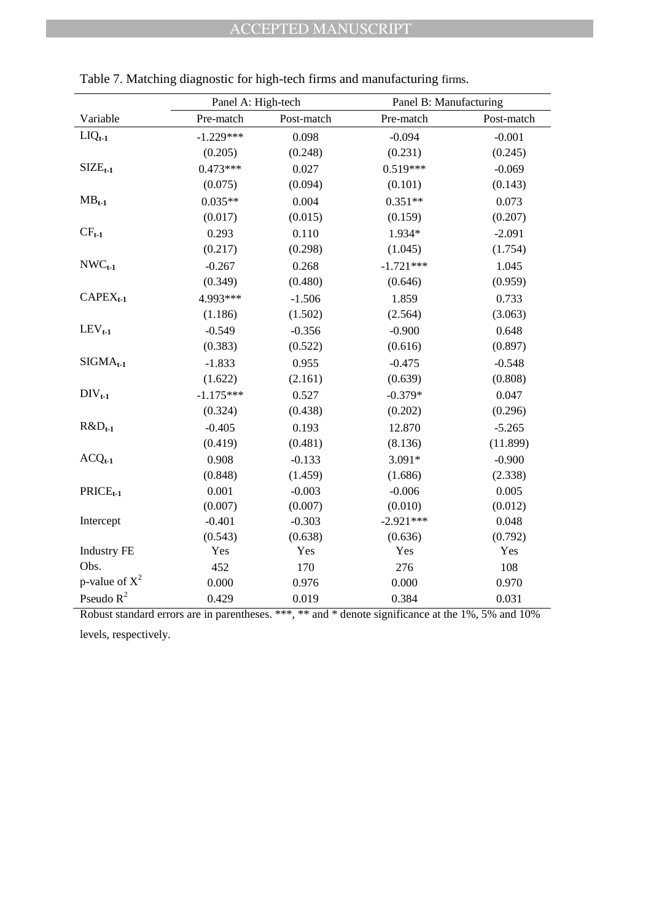|                    |             | Panel A: High-tech |             | Panel B: Manufacturing |
|--------------------|-------------|--------------------|-------------|------------------------|
| Variable           | Pre-match   | Post-match         | Pre-match   | Post-match             |
| $LIQ_{t-1}$        | $-1.229***$ | 0.098              | $-0.094$    | $-0.001$               |
|                    | (0.205)     | (0.248)            | (0.231)     | (0.245)                |
| $SIZE_{t-1}$       | $0.473***$  | 0.027              | $0.519***$  | $-0.069$               |
|                    | (0.075)     | (0.094)            | (0.101)     | (0.143)                |
| $MB_{t-1}$         | $0.035**$   | 0.004              | $0.351**$   | 0.073                  |
|                    | (0.017)     | (0.015)            | (0.159)     | (0.207)                |
| $CF_{t-1}$         | 0.293       | 0.110              | 1.934*      | $-2.091$               |
|                    | (0.217)     | (0.298)            | (1.045)     | (1.754)                |
| $NWC_{t-1}$        | $-0.267$    | 0.268              | $-1.721***$ | 1.045                  |
|                    | (0.349)     | (0.480)            | (0.646)     | (0.959)                |
| $CAPEX_{t-1}$      | 4.993***    | $-1.506$           | 1.859       | 0.733                  |
|                    | (1.186)     | (1.502)            | (2.564)     | (3.063)                |
| $LEV_{t-1}$        | $-0.549$    | $-0.356$           | $-0.900$    | 0.648                  |
|                    | (0.383)     | (0.522)            | (0.616)     | (0.897)                |
| $SIGMA_{t-1}$      | $-1.833$    | 0.955              | $-0.475$    | $-0.548$               |
|                    | (1.622)     | (2.161)            | (0.639)     | (0.808)                |
| $DIV_{t-1}$        | $-1.175***$ | 0.527              | $-0.379*$   | 0.047                  |
|                    | (0.324)     | (0.438)            | (0.202)     | (0.296)                |
| $R&D_{t-1}$        | $-0.405$    | 0.193              | 12.870      | $-5.265$               |
|                    | (0.419)     | (0.481)            | (8.136)     | (11.899)               |
| $ACQ_{t-1}$        | 0.908       | $-0.133$           | $3.091*$    | $-0.900$               |
|                    | (0.848)     | (1.459)            | (1.686)     | (2.338)                |
| $PRICE_{t-1}$      | 0.001       | $-0.003$           | $-0.006$    | 0.005                  |
|                    | (0.007)     | (0.007)            | (0.010)     | (0.012)                |
| Intercept          | $-0.401$    | $-0.303$           | $-2.921***$ | 0.048                  |
|                    | (0.543)     | (0.638)            | (0.636)     | (0.792)                |
| <b>Industry FE</b> | Yes         | Yes                | Yes         | Yes                    |
| Obs.               | 452         | 170                | 276         | 108                    |
| p-value of $X^2$   | 0.000       | 0.976              | 0.000       | 0.970                  |
| Pseudo $R^2$       | 0.429       | 0.019              | 0.384       | 0.031                  |

|  |  | Table 7. Matching diagnostic for high-tech firms and manufacturing firms. |
|--|--|---------------------------------------------------------------------------|
|  |  |                                                                           |

Robust standard errors are in parentheses. \*\*\*, \*\* and \* denote significance at the 1%, 5% and 10% levels, respectively.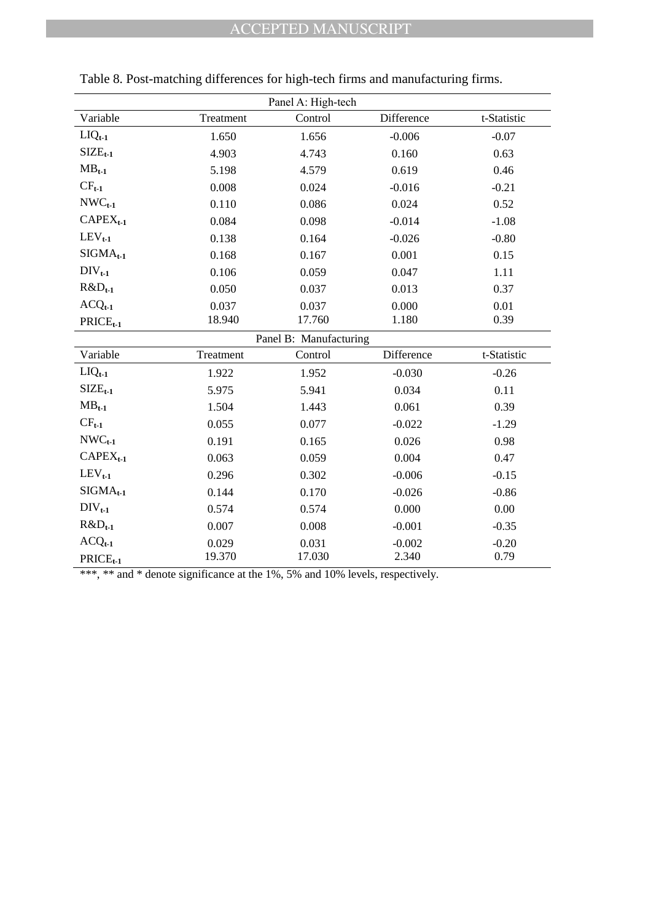|               |           | Panel A: High-tech     |            |             |
|---------------|-----------|------------------------|------------|-------------|
| Variable      | Treatment | Control                | Difference | t-Statistic |
| $LIQ_{t-1}$   | 1.650     | 1.656                  | $-0.006$   | $-0.07$     |
| $SIZEt-1$     | 4.903     | 4.743                  | 0.160      | 0.63        |
| $MB_{t-1}$    | 5.198     | 4.579                  | 0.619      | 0.46        |
| $CF_{t-1}$    | 0.008     | 0.024                  | $-0.016$   | $-0.21$     |
| $NWC_{t-1}$   | 0.110     | 0.086                  | 0.024      | 0.52        |
| $CAPEX_{t-1}$ | 0.084     | 0.098                  | $-0.014$   | $-1.08$     |
| $LEV_{t-1}$   | 0.138     | 0.164                  | $-0.026$   | $-0.80$     |
| $SIGMA_{t-1}$ | 0.168     | 0.167                  | 0.001      | 0.15        |
| $DIV_{t-1}$   | 0.106     | 0.059                  | 0.047      | 1.11        |
| $R&D_{t-1}$   | 0.050     | 0.037                  | 0.013      | 0.37        |
| $ACQ_{t-1}$   | 0.037     | 0.037                  | 0.000      | 0.01        |
| $PRICE_{t-1}$ | 18.940    | 17.760                 | 1.180      | 0.39        |
|               |           | Panel B: Manufacturing |            |             |
| Variable      | Treatment | Control                | Difference | t-Statistic |
| $LIQ_{t-1}$   | 1.922     | 1.952                  | $-0.030$   | $-0.26$     |
| $SIZE_{t-1}$  | 5.975     | 5.941                  | 0.034      | 0.11        |
| $MB_{t-1}$    | 1.504     | 1.443                  | 0.061      | 0.39        |
| $CF_{t-1}$    | 0.055     | 0.077                  | $-0.022$   | $-1.29$     |
| $NWC_{t-1}$   | 0.191     | 0.165                  | 0.026      | 0.98        |
| $CAPEX_{t-1}$ | 0.063     | 0.059                  | 0.004      | 0.47        |
| $LEV_{t-1}$   | 0.296     | 0.302                  | $-0.006$   | $-0.15$     |
| $SIGMA_{t-1}$ | 0.144     | 0.170                  | $-0.026$   | $-0.86$     |
| $DIV_{t-1}$   | 0.574     | 0.574                  | 0.000      | 0.00        |
| $R&D_{t-1}$   | 0.007     | 0.008                  | $-0.001$   | $-0.35$     |
| $ACQ_{t-1}$   | 0.029     | 0.031                  | $-0.002$   | $-0.20$     |
| $PRICE_{t-1}$ | 19.370    | 17.030                 | 2.340      | 0.79        |

| Table 8. Post-matching differences for high-tech firms and manufacturing firms. |  |  |  |  |
|---------------------------------------------------------------------------------|--|--|--|--|
|                                                                                 |  |  |  |  |

\*\*\*, \*\* and \* denote significance at the 1%, 5% and 10% levels, respectively.